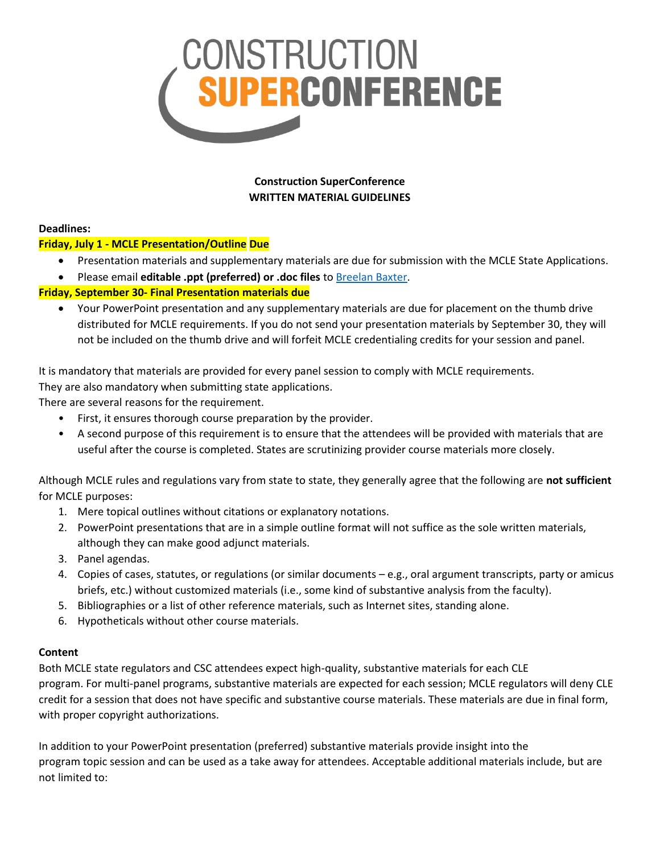

**Construction SuperConference WRITTEN MATERIAL GUIDELINES**

#### **Deadlines:**

# **Friday, July 1 - MCLE Presentation/Outline Due**

- Presentation materials and supplementary materials are due for submission with the MCLE State Applications.
- Please email **editable .ppt (preferred) or .doc files** t[o Breelan](mailto:breelan.baxter@emeraldx.com) Baxter.

# **Friday, September 30- Final Presentation materials due**

• Your PowerPoint presentation and any supplementary materials are due for placement on the thumb drive distributed for MCLE requirements. If you do not send your presentation materials by September 30, they will not be included on the thumb drive and will forfeit MCLE credentialing credits for your session and panel.

It is mandatory that materials are provided for every panel session to comply with MCLE requirements.

They are also mandatory when submitting state applications.

There are several reasons for the requirement.

- First, it ensures thorough course preparation by the provider.
- A second purpose of this requirement is to ensure that the attendees will be provided with materials that are useful after the course is completed. States are scrutinizing provider course materials more closely.

Although MCLE rules and regulations vary from state to state, they generally agree that the following are **not sufficient** for MCLE purposes:

- 1. Mere topical outlines without citations or explanatory notations.
- 2. PowerPoint presentations that are in a simple outline format will not suffice as the sole written materials, although they can make good adjunct materials.
- 3. Panel agendas.
- 4. Copies of cases, statutes, or regulations (or similar documents e.g., oral argument transcripts, party or amicus briefs, etc.) without customized materials (i.e., some kind of substantive analysis from the faculty).
- 5. Bibliographies or a list of other reference materials, such as Internet sites, standing alone.
- 6. Hypotheticals without other course materials.

# **Content**

Both MCLE state regulators and CSC attendees expect high-quality, substantive materials for each CLE program. For multi-panel programs, substantive materials are expected for each session; MCLE regulators will deny CLE credit for a session that does not have specific and substantive course materials. These materials are due in final form, with proper copyright authorizations.

In addition to your PowerPoint presentation (preferred) substantive materials provide insight into the program topic session and can be used as a take away for attendees. Acceptable additional materials include, but are not limited to: